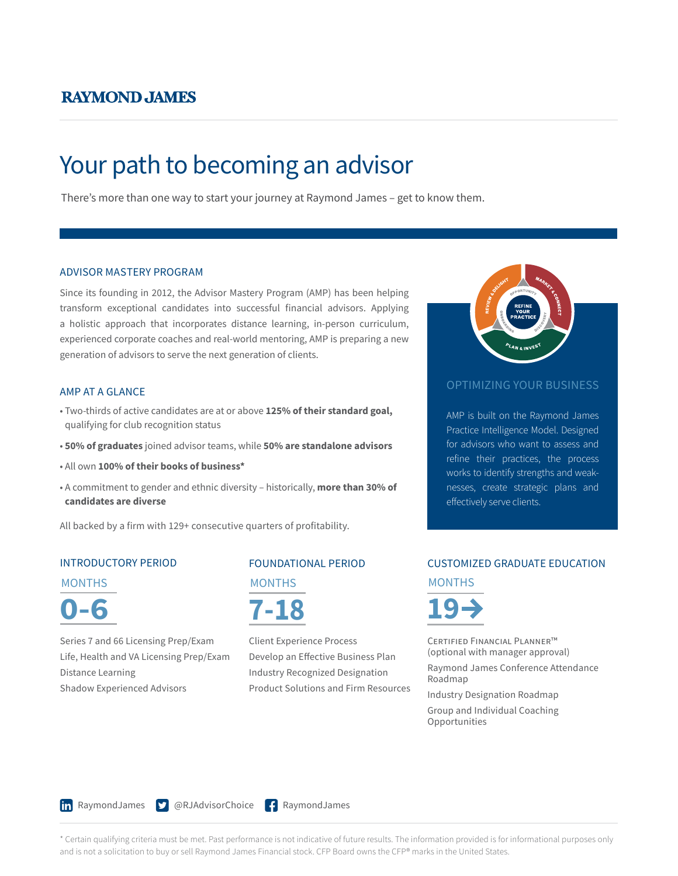### **RAYMOND JAMES**

# Your path to becoming an advisor

There's more than one way to start your journey at Raymond James – get to know them.

#### ADVISOR MASTERY PROGRAM

Since its founding in 2012, the Advisor Mastery Program (AMP) has been helping transform exceptional candidates into successful financial advisors. Applying a holistic approach that incorporates distance learning, in-person curriculum, experienced corporate coaches and real-world mentoring, AMP is preparing a new generation of advisors to serve the next generation of clients.

### AMP AT A GLANCE

- Two-thirds of active candidates are at or above **125% of their standard goal,** qualifying for club recognition status
- **50% of graduates** joined advisor teams, while **50% are standalone advisors**
- All own **100% of their books of business\***
- A commitment to gender and ethnic diversity historically, **more than 30% of candidates are diverse**

All backed by a firm with 129+ consecutive quarters of profitability.

 MONTHS **0-6**

Series 7 and 66 Licensing Prep/Exam Life, Health and VA Licensing Prep/Exam Distance Learning Shadow Experienced Advisors

### FOUNDATIONAL PERIOD **MONTHS**

**7-18**

Client Experience Process Develop an Effective Business Plan Industry Recognized Designation Product Solutions and Firm Resources



### OPTIMIZING YOUR BUSINESS

AMP is built on the Raymond James Practice Intelligence Model. Designed for advisors who want to assess and refine their practices, the process works to identify strengths and weaknesses, create strategic plans and effectively serve clients.

### INTRODUCTORY PERIOD CUSTOMIZED GRADUATE EDUCATION MONTHS



Certified Financial Planner™ (optional with manager approval)

Raymond James Conference Attendance Roadmap

Industry Designation Roadmap

Group and Individual Coaching Opportunities

In RaymondJames **Y** @RJAdvisorChoice **f** RaymondJames

\* Certain qualifying criteria must be met. Past performance is not indicative of future results. The information provided is for informational purposes only and is not a solicitation to buy or sell Raymond James Financial stock. CFP Board owns the CFP® marks in the United States.